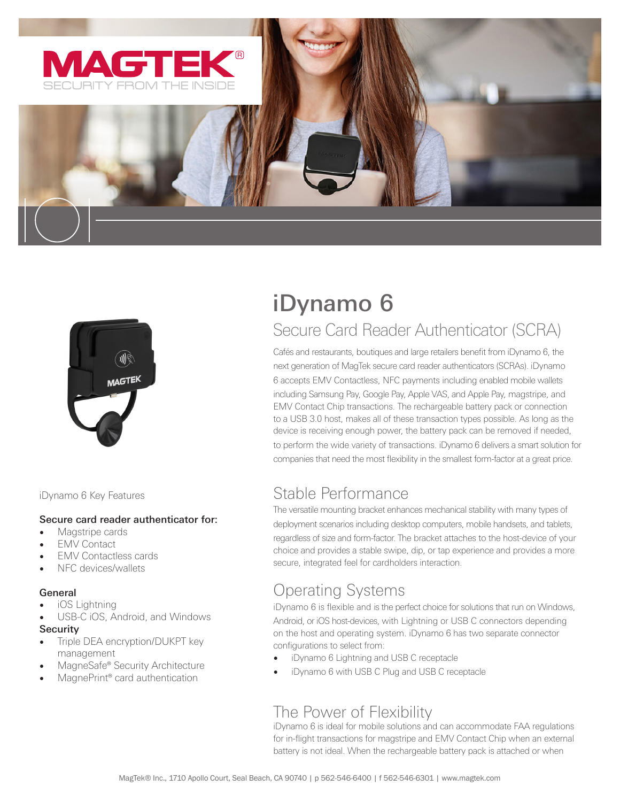



iDynamo 6 Key Features

#### Secure card reader authenticator for:

- Magstripe cards
- **EMV Contact**
- EMV Contactless cards
- NFC devices/wallets

#### **General**

- iOS Lightning
- USB-C iOS, Android, and Windows **Security**
- Triple DEA encryption/DUKPT key management
- MagneSafe® Security Architecture
- MagnePrint® card authentication

# iDynamo 6

# Secure Card Reader Authenticator (SCRA)

Cafés and restaurants, boutiques and large retailers benefit from iDynamo 6, the next generation of MagTek secure card reader authenticators (SCRAs). iDynamo 6 accepts EMV Contactless, NFC payments including enabled mobile wallets including Samsung Pay, Google Pay, Apple VAS, and Apple Pay, magstripe, and EMV Contact Chip transactions. The rechargeable battery pack or connection to a USB 3.0 host, makes all of these transaction types possible. As long as the device is receiving enough power, the battery pack can be removed if needed, to perform the wide variety of transactions. iDynamo 6 delivers a smart solution for companies that need the most flexibility in the smallest form-factor at a great price.

# Stable Performance

The versatile mounting bracket enhances mechanical stability with many types of deployment scenarios including desktop computers, mobile handsets, and tablets, regardless of size and form-factor. The bracket attaches to the host-device of your choice and provides a stable swipe, dip, or tap experience and provides a more secure, integrated feel for cardholders interaction.

# Operating Systems

iDynamo 6 is flexible and is the perfect choice for solutions that run on Windows, Android, or iOS host-devices, with Lightning or USB C connectors depending on the host and operating system. iDynamo 6 has two separate connector configurations to select from:

- iDynamo 6 Lightning and USB C receptacle
- iDynamo 6 with USB C Plug and USB C receptacle

#### The Power of Flexibility

iDynamo 6 is ideal for mobile solutions and can accommodate FAA regulations for in-flight transactions for magstripe and EMV Contact Chip when an external battery is not ideal. When the rechargeable battery pack is attached or when